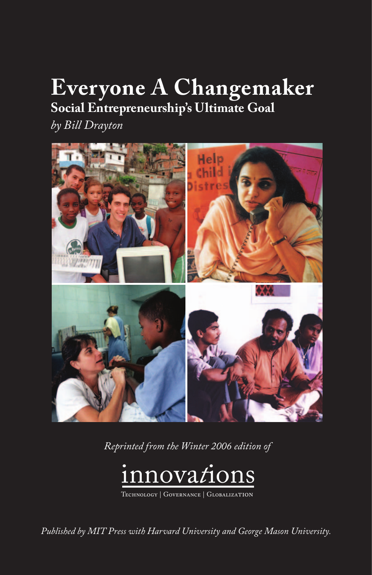# **Everyone A Changemaker Social Entrepreneurship's Ultimate Goal**

*by Bill Drayton*



*Reprinted from the Winter 2006 edition of*



Technology | Governance | Globalization

*Published by MIT Press with Harvard University and George Mason University.*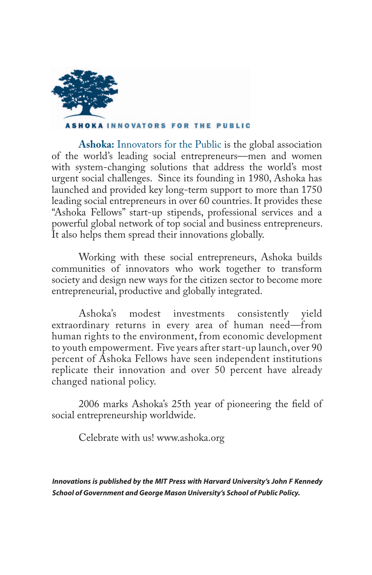

#### **HOKA INNOVATORS FOR THE PUBLIC**

**Ashoka:** Innovators for the Public is the global association of the world's leading social entrepreneurs—men and women with system-changing solutions that address the world's most urgent social challenges. Since its founding in 1980, Ashoka has launched and provided key long-term support to more than 1750 leading social entrepreneurs in over 60 countries. It provides these "Ashoka Fellows" start-up stipends, professional services and a powerful global network of top social and business entrepreneurs. It also helps them spread their innovations globally.

Working with these social entrepreneurs, Ashoka builds communities of innovators who work together to transform society and design new ways for the citizen sector to become more entrepreneurial, productive and globally integrated.

Ashoka's modest investments consistently yield extraordinary returns in every area of human need—from human rights to the environment, from economic development to youth empowerment. Five years after start-up launch, over 90 percent of Ashoka Fellows have seen independent institutions replicate their innovation and over 50 percent have already changed national policy.

2006 marks Ashoka's 25th year of pioneering the field of social entrepreneurship worldwide.

Celebrate with us! www.ashoka.org

*Innovations is published by the MIT Press with Harvard University's John F Kennedy School of Government and George Mason University's School of Public Policy.*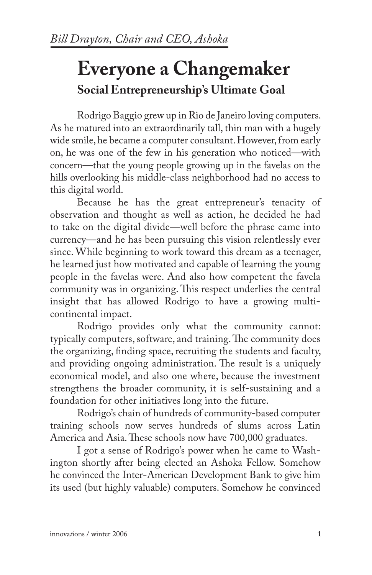## **Everyone a Changemaker Social Entrepreneurship's Ultimate Goal**

Rodrigo Baggio grew up in Rio de Janeiro loving computers. As he matured into an extraordinarily tall, thin man with a hugely wide smile, he became a computer consultant. However, from early on, he was one of the few in his generation who noticed—with concern—that the young people growing up in the favelas on the hills overlooking his middle-class neighborhood had no access to this digital world.

Because he has the great entrepreneur's tenacity of observation and thought as well as action, he decided he had to take on the digital divide—well before the phrase came into currency—and he has been pursuing this vision relentlessly ever since. While beginning to work toward this dream as a teenager, he learned just how motivated and capable of learning the young people in the favelas were. And also how competent the favela community was in organizing. This respect underlies the central insight that has allowed Rodrigo to have a growing multicontinental impact.

Rodrigo provides only what the community cannot: typically computers, software, and training. The community does the organizing, finding space, recruiting the students and faculty, and providing ongoing administration. The result is a uniquely economical model, and also one where, because the investment strengthens the broader community, it is self-sustaining and a foundation for other initiatives long into the future.

Rodrigo's chain of hundreds of community-based computer training schools now serves hundreds of slums across Latin America and Asia. These schools now have 700,000 graduates.

I got a sense of Rodrigo's power when he came to Washington shortly after being elected an Ashoka Fellow. Somehow he convinced the Inter-American Development Bank to give him its used (but highly valuable) computers. Somehow he convinced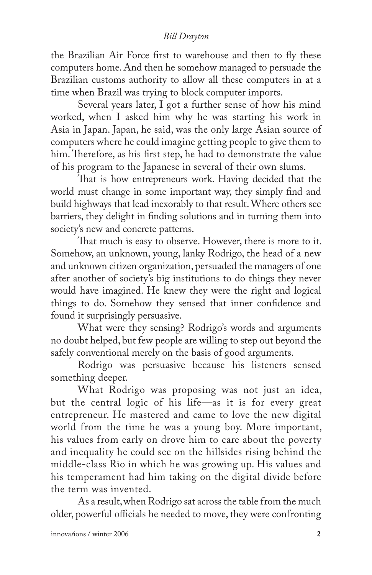the Brazilian Air Force first to warehouse and then to fly these computers home. And then he somehow managed to persuade the Brazilian customs authority to allow all these computers in at a time when Brazil was trying to block computer imports.

Several years later, I got a further sense of how his mind worked, when I asked him why he was starting his work in Asia in Japan. Japan, he said, was the only large Asian source of computers where he could imagine getting people to give them to him. Therefore, as his first step, he had to demonstrate the value of his program to the Japanese in several of their own slums.

That is how entrepreneurs work. Having decided that the world must change in some important way, they simply find and build highways that lead inexorably to that result. Where others see barriers, they delight in finding solutions and in turning them into society's new and concrete patterns.

That much is easy to observe. However, there is more to it. Somehow, an unknown, young, lanky Rodrigo, the head of a new and unknown citizen organization, persuaded the managers of one after another of society's big institutions to do things they never would have imagined. He knew they were the right and logical things to do. Somehow they sensed that inner confidence and found it surprisingly persuasive.

What were they sensing? Rodrigo's words and arguments no doubt helped, but few people are willing to step out beyond the safely conventional merely on the basis of good arguments.

Rodrigo was persuasive because his listeners sensed something deeper.

What Rodrigo was proposing was not just an idea, but the central logic of his life—as it is for every great entrepreneur. He mastered and came to love the new digital world from the time he was a young boy. More important, his values from early on drove him to care about the poverty and inequality he could see on the hillsides rising behind the middle-class Rio in which he was growing up. His values and his temperament had him taking on the digital divide before the term was invented.

As a result, when Rodrigo sat across the table from the much older, powerful officials he needed to move, they were confronting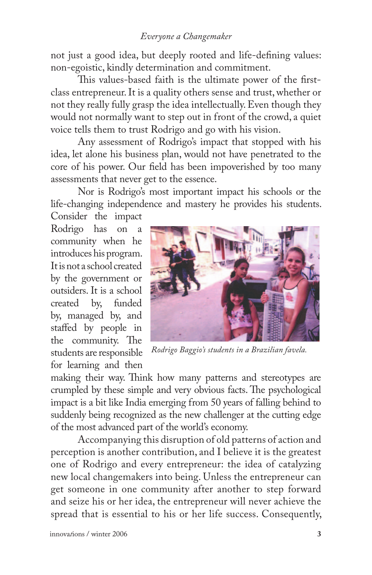#### *Everyone a Changemaker*

not just a good idea, but deeply rooted and life-defining values: non-egoistic, kindly determination and commitment.

This values-based faith is the ultimate power of the firstclass entrepreneur. It is a quality others sense and trust, whether or not they really fully grasp the idea intellectually. Even though they would not normally want to step out in front of the crowd, a quiet voice tells them to trust Rodrigo and go with his vision.

Any assessment of Rodrigo's impact that stopped with his idea, let alone his business plan, would not have penetrated to the core of his power. Our field has been impoverished by too many assessments that never get to the essence.

Nor is Rodrigo's most important impact his schools or the life-changing independence and mastery he provides his students.

Consider the impact Rodrigo has on a community when he introduces his program. It is not a school created by the government or outsiders. It is a school created by, funded by, managed by, and staffed by people in the community. The students are responsible for learning and then



*Rodrigo Baggio's students in a Brazilian favela.*

making their way. Think how many patterns and stereotypes are crumpled by these simple and very obvious facts. The psychological impact is a bit like India emerging from 50 years of falling behind to suddenly being recognized as the new challenger at the cutting edge of the most advanced part of the world's economy.

Accompanying this disruption of old patterns of action and perception is another contribution, and I believe it is the greatest one of Rodrigo and every entrepreneur: the idea of catalyzing new local changemakers into being. Unless the entrepreneur can get someone in one community after another to step forward and seize his or her idea, the entrepreneur will never achieve the spread that is essential to his or her life success. Consequently,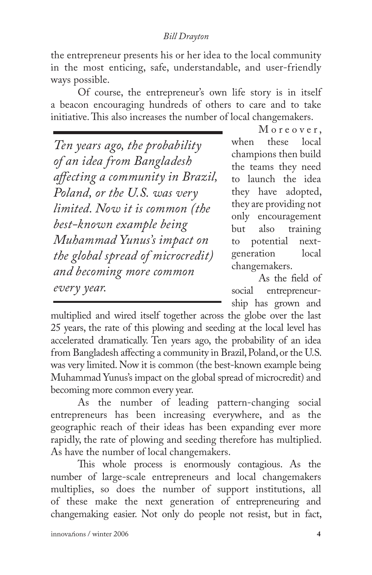the entrepreneur presents his or her idea to the local community in the most enticing, safe, understandable, and user-friendly ways possible.

Of course, the entrepreneur's own life story is in itself a beacon encouraging hundreds of others to care and to take initiative. This also increases the number of local changemakers.

*Ten years ago, the probability of an idea from Bangladesh affecting a community in Brazil, Poland, or the U.S. was very limited. Now it is common (the best-known example being Muhammad Yunus's impact on the global spread of microcredit) and becoming more common every year.*

M o r e o v e r,<br>these local when these champions then build the teams they need to launch the idea they have adopted, they are providing not only encouragement<br>but also training but also training to potential nextgeneration local changemakers.

As the field of social entrepreneurship has grown and

multiplied and wired itself together across the globe over the last 25 years, the rate of this plowing and seeding at the local level has accelerated dramatically. Ten years ago, the probability of an idea from Bangladesh affecting a community in Brazil, Poland, or the U.S. was very limited. Now it is common (the best-known example being Muhammad Yunus's impact on the global spread of microcredit) and becoming more common every year.

As the number of leading pattern-changing social entrepreneurs has been increasing everywhere, and as the geographic reach of their ideas has been expanding ever more rapidly, the rate of plowing and seeding therefore has multiplied. As have the number of local changemakers.

This whole process is enormously contagious. As the number of large-scale entrepreneurs and local changemakers multiplies, so does the number of support institutions, all of these make the next generation of entrepreneuring and changemaking easier. Not only do people not resist, but in fact,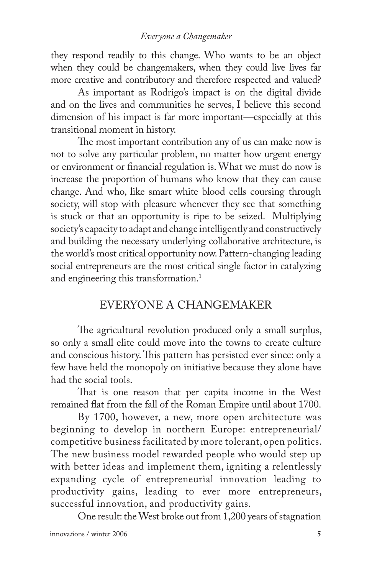they respond readily to this change. Who wants to be an object when they could be changemakers, when they could live lives far more creative and contributory and therefore respected and valued?

As important as Rodrigo's impact is on the digital divide and on the lives and communities he serves, I believe this second dimension of his impact is far more important—especially at this transitional moment in history.

The most important contribution any of us can make now is not to solve any particular problem, no matter how urgent energy or environment or financial regulation is. What we must do now is increase the proportion of humans who know that they can cause change. And who, like smart white blood cells coursing through society, will stop with pleasure whenever they see that something is stuck or that an opportunity is ripe to be seized. Multiplying society's capacity to adapt and change intelligently and constructively and building the necessary underlying collaborative architecture, is the world's most critical opportunity now. Pattern-changing leading social entrepreneurs are the most critical single factor in catalyzing and engineering this transformation.<sup>1</sup>

### EVERYONE A CHANGEMAKER

The agricultural revolution produced only a small surplus, so only a small elite could move into the towns to create culture and conscious history. This pattern has persisted ever since: only a few have held the monopoly on initiative because they alone have had the social tools.

That is one reason that per capita income in the West remained flat from the fall of the Roman Empire until about 1700.

By 1700, however, a new, more open architecture was beginning to develop in northern Europe: entrepreneurial/ competitive business facilitated by more tolerant, open politics. The new business model rewarded people who would step up with better ideas and implement them, igniting a relentlessly expanding cycle of entrepreneurial innovation leading to productivity gains, leading to ever more entrepreneurs, successful innovation, and productivity gains.

One result: the West broke out from 1,200 years of stagnation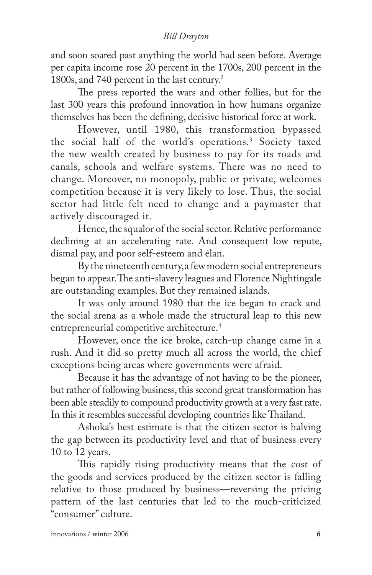and soon soared past anything the world had seen before. Average per capita income rose 20 percent in the 1700s, 200 percent in the 1800s, and 740 percent in the last century.2

The press reported the wars and other follies, but for the last 300 years this profound innovation in how humans organize themselves has been the defining, decisive historical force at work.

However, until 1980, this transformation bypassed the social half of the world's operations.3 Society taxed the new wealth created by business to pay for its roads and canals, schools and welfare systems. There was no need to change. Moreover, no monopoly, public or private, welcomes competition because it is very likely to lose. Thus, the social sector had little felt need to change and a paymaster that actively discouraged it.

Hence, the squalor of the social sector. Relative performance declining at an accelerating rate. And consequent low repute, dismal pay, and poor self-esteem and élan.

By the nineteenth century, a few modern social entrepreneurs began to appear. The anti-slavery leagues and Florence Nightingale are outstanding examples. But they remained islands.

It was only around 1980 that the ice began to crack and the social arena as a whole made the structural leap to this new entrepreneurial competitive architecture.4

However, once the ice broke, catch-up change came in a rush. And it did so pretty much all across the world, the chief exceptions being areas where governments were afraid.

Because it has the advantage of not having to be the pioneer, but rather of following business, this second great transformation has been able steadily to compound productivity growth at a very fast rate. In this it resembles successful developing countries like Thailand.

Ashoka's best estimate is that the citizen sector is halving the gap between its productivity level and that of business every 10 to 12 years.

This rapidly rising productivity means that the cost of the goods and services produced by the citizen sector is falling relative to those produced by business—reversing the pricing pattern of the last centuries that led to the much-criticized "consumer" culture.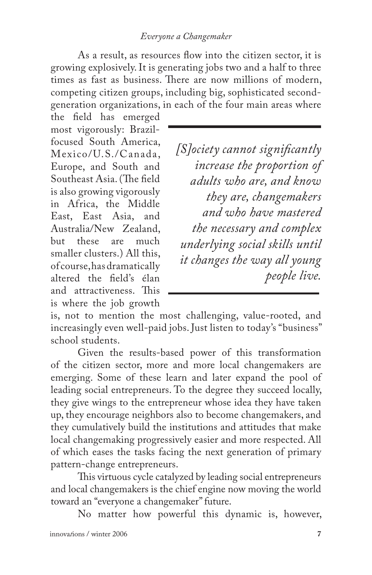As a result, as resources flow into the citizen sector, it is growing explosively. It is generating jobs two and a half to three times as fast as business. There are now millions of modern, competing citizen groups, including big, sophisticated secondgeneration organizations, in each of the four main areas where

the field has emerged most vigorously: Brazilfocused South America, Mexico/U.S./Canada, Europe, and South and Southeast Asia. (The field is also growing vigorously in Africa, the Middle East, East Asia, and Australia/New Zealand, but these are much smaller clusters.) All this, of course, has dramatically altered the field's élan and attractiveness. This is where the job growth

*[S]ociety cannot significantly increase the proportion of adults who are, and know they are, changemakers and who have mastered the necessary and complex underlying social skills until it changes the way all young people live.*

is, not to mention the most challenging, value-rooted, and increasingly even well-paid jobs. Just listen to today's "business" school students.

Given the results-based power of this transformation of the citizen sector, more and more local changemakers are emerging. Some of these learn and later expand the pool of leading social entrepreneurs. To the degree they succeed locally, they give wings to the entrepreneur whose idea they have taken up, they encourage neighbors also to become changemakers, and they cumulatively build the institutions and attitudes that make local changemaking progressively easier and more respected. All of which eases the tasks facing the next generation of primary pattern-change entrepreneurs.

This virtuous cycle catalyzed by leading social entrepreneurs and local changemakers is the chief engine now moving the world toward an "everyone a changemaker" future.

No matter how powerful this dynamic is, however,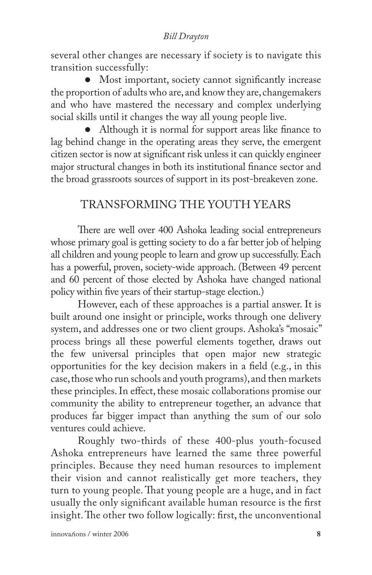several other changes are necessary if society is to navigate this transition successfully:

Most important, society cannot significantly increase the proportion of adults who are, and know they are, changemakers and who have mastered the necessary and complex underlying social skills until it changes the way all young people live.

• Although it is normal for support areas like finance to lag behind change in the operating areas they serve, the emergent citizen sector is now at significant risk unless it can quickly engineer major structural changes in both its institutional finance sector and the broad grassroots sources of support in its post-breakeven zone.

## TRANSFORMING THE YOUTH YEARS

There are well over 400 Ashoka leading social entrepreneurs whose primary goal is getting society to do a far better job of helping all children and young people to learn and grow up successfully. Each has a powerful, proven, society-wide approach. (Between 49 percent and 60 percent of those elected by Ashoka have changed national policy within five years of their startup-stage election.)

However, each of these approaches is a partial answer. It is built around one insight or principle, works through one delivery system, and addresses one or two client groups. Ashoka's "mosaic" process brings all these powerful elements together, draws out the few universal principles that open major new strategic opportunities for the key decision makers in a field (e.g., in this case, those who run schools and youth programs), and then markets these principles. In effect, these mosaic collaborations promise our community the ability to entrepreneur together, an advance that produces far bigger impact than anything the sum of our solo ventures could achieve.

Roughly two-thirds of these 400-plus youth-focused Ashoka entrepreneurs have learned the same three powerful principles. Because they need human resources to implement their vision and cannot realistically get more teachers, they turn to young people. That young people are a huge, and in fact usually the only significant available human resource is the first insight. The other two follow logically: first, the unconventional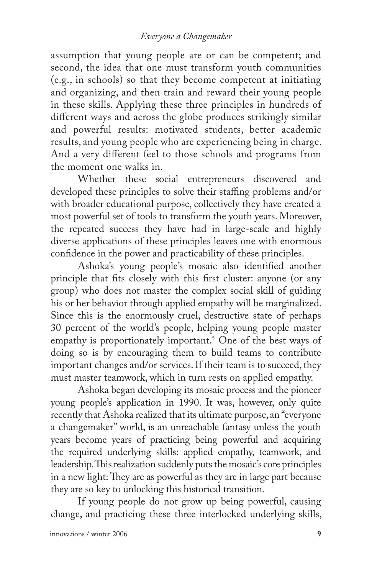assumption that young people are or can be competent; and second, the idea that one must transform youth communities (e.g., in schools) so that they become competent at initiating and organizing, and then train and reward their young people in these skills. Applying these three principles in hundreds of different ways and across the globe produces strikingly similar and powerful results: motivated students, better academic results, and young people who are experiencing being in charge. And a very different feel to those schools and programs from the moment one walks in.

Whether these social entrepreneurs discovered and developed these principles to solve their staffing problems and/or with broader educational purpose, collectively they have created a most powerful set of tools to transform the youth years. Moreover, the repeated success they have had in large-scale and highly diverse applications of these principles leaves one with enormous confidence in the power and practicability of these principles.

Ashoka's young people's mosaic also identified another principle that fits closely with this first cluster: anyone (or any group) who does not master the complex social skill of guiding his or her behavior through applied empathy will be marginalized. Since this is the enormously cruel, destructive state of perhaps 30 percent of the world's people, helping young people master empathy is proportionately important.5 One of the best ways of doing so is by encouraging them to build teams to contribute important changes and/or services. If their team is to succeed, they must master teamwork, which in turn rests on applied empathy.

Ashoka began developing its mosaic process and the pioneer young people's application in 1990. It was, however, only quite recently that Ashoka realized that its ultimate purpose, an "everyone a changemaker" world, is an unreachable fantasy unless the youth years become years of practicing being powerful and acquiring the required underlying skills: applied empathy, teamwork, and leadership. This realization suddenly puts the mosaic's core principles in a new light: They are as powerful as they are in large part because they are so key to unlocking this historical transition.

If young people do not grow up being powerful, causing change, and practicing these three interlocked underlying skills,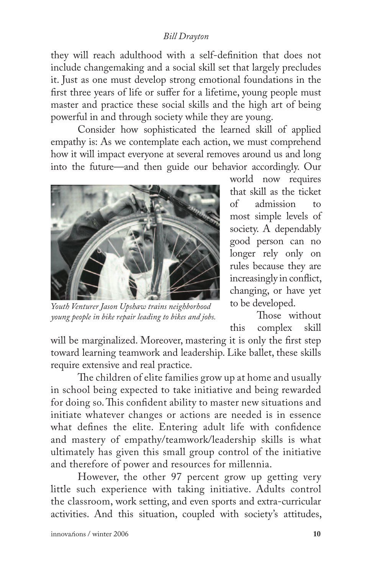they will reach adulthood with a self-definition that does not include changemaking and a social skill set that largely precludes it. Just as one must develop strong emotional foundations in the first three years of life or suffer for a lifetime, young people must master and practice these social skills and the high art of being powerful in and through society while they are young.

Consider how sophisticated the learned skill of applied empathy is: As we contemplate each action, we must comprehend how it will impact everyone at several removes around us and long into the future—and then guide our behavior accordingly. Our



*Youth Venturer Jason Upshaw trains neighborhood young people in bike repair leading to bikes and jobs.* 

world now requires that skill as the ticket admission to most simple levels of society. A dependably good person can no longer rely only on rules because they are increasingly in conflict, changing, or have yet to be developed.

Those without this complex skill

will be marginalized. Moreover, mastering it is only the first step toward learning teamwork and leadership. Like ballet, these skills require extensive and real practice.

The children of elite families grow up at home and usually in school being expected to take initiative and being rewarded for doing so. This confident ability to master new situations and initiate whatever changes or actions are needed is in essence what defines the elite. Entering adult life with confidence and mastery of empathy/teamwork/leadership skills is what ultimately has given this small group control of the initiative and therefore of power and resources for millennia.

However, the other 97 percent grow up getting very little such experience with taking initiative. Adults control the classroom, work setting, and even sports and extra-curricular activities. And this situation, coupled with society's attitudes,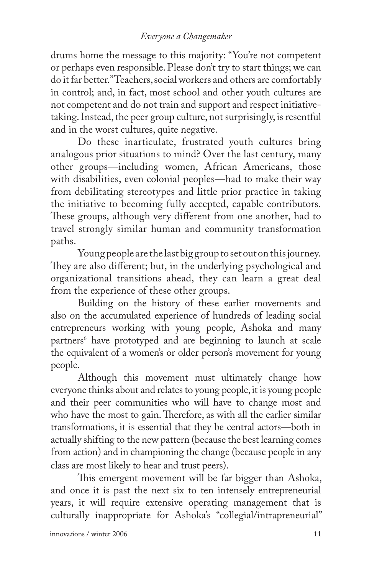drums home the message to this majority: "You're not competent or perhaps even responsible. Please don't try to start things; we can do it far better." Teachers, social workers and others are comfortably in control; and, in fact, most school and other youth cultures are not competent and do not train and support and respect initiativetaking. Instead, the peer group culture, not surprisingly, is resentful and in the worst cultures, quite negative.

Do these inarticulate, frustrated youth cultures bring analogous prior situations to mind? Over the last century, many other groups—including women, African Americans, those with disabilities, even colonial peoples—had to make their way from debilitating stereotypes and little prior practice in taking the initiative to becoming fully accepted, capable contributors. These groups, although very different from one another, had to travel strongly similar human and community transformation paths.

Young people are the last big group to set out on this journey. They are also different; but, in the underlying psychological and organizational transitions ahead, they can learn a great deal from the experience of these other groups.

Building on the history of these earlier movements and also on the accumulated experience of hundreds of leading social entrepreneurs working with young people, Ashoka and many partners6 have prototyped and are beginning to launch at scale the equivalent of a women's or older person's movement for young people.

Although this movement must ultimately change how everyone thinks about and relates to young people, it is young people and their peer communities who will have to change most and who have the most to gain. Therefore, as with all the earlier similar transformations, it is essential that they be central actors—both in actually shifting to the new pattern (because the best learning comes from action) and in championing the change (because people in any class are most likely to hear and trust peers).

This emergent movement will be far bigger than Ashoka, and once it is past the next six to ten intensely entrepreneurial years, it will require extensive operating management that is culturally inappropriate for Ashoka's "collegial/intrapreneurial"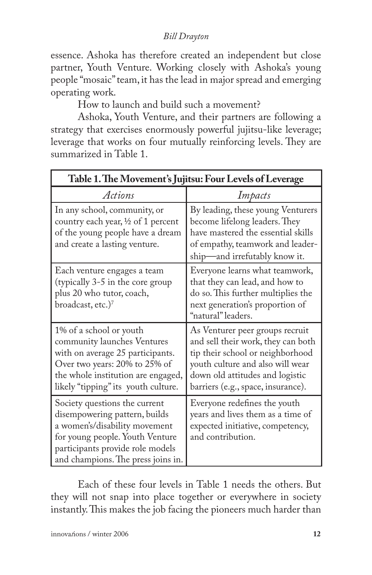essence. Ashoka has therefore created an independent but close partner, Youth Venture. Working closely with Ashoka's young people "mosaic" team, it has the lead in major spread and emerging operating work.

How to launch and build such a movement?

Ashoka, Youth Venture, and their partners are following a strategy that exercises enormously powerful jujitsu-like leverage; leverage that works on four mutually reinforcing levels. They are summarized in Table 1.

| Table 1. The Movement's Jujitsu: Four Levels of Leverage                                                                                                                                                     |                                                                                                                                                                                                                        |
|--------------------------------------------------------------------------------------------------------------------------------------------------------------------------------------------------------------|------------------------------------------------------------------------------------------------------------------------------------------------------------------------------------------------------------------------|
| Actions                                                                                                                                                                                                      | Impacts                                                                                                                                                                                                                |
| In any school, community, or<br>country each year, 1/2 of 1 percent<br>of the young people have a dream<br>and create a lasting venture.                                                                     | By leading, these young Venturers<br>become lifelong leaders. They<br>have mastered the essential skills<br>of empathy, teamwork and leader-<br>ship-and irrefutably know it.                                          |
| Each venture engages a team<br>(typically 3-5 in the core group<br>plus 20 who tutor, coach,<br>broadcast, etc.) <sup>7</sup>                                                                                | Everyone learns what teamwork,<br>that they can lead, and how to<br>do so. This further multiplies the<br>next generation's proportion of<br>"natural" leaders.                                                        |
| 1% of a school or youth<br>community launches Ventures<br>with on average 25 participants.<br>Over two years: 20% to 25% of<br>the whole institution are engaged,<br>likely "tipping" its youth culture.     | As Venturer peer groups recruit<br>and sell their work, they can both<br>tip their school or neighborhood<br>youth culture and also will wear<br>down old attitudes and logistic<br>barriers (e.g., space, insurance). |
| Society questions the current<br>disempowering pattern, builds<br>a women's/disability movement<br>for young people. Youth Venture<br>participants provide role models<br>and champions. The press joins in. | Everyone redefines the youth<br>years and lives them as a time of<br>expected initiative, competency,<br>and contribution.                                                                                             |

Each of these four levels in Table 1 needs the others. But they will not snap into place together or everywhere in society instantly. This makes the job facing the pioneers much harder than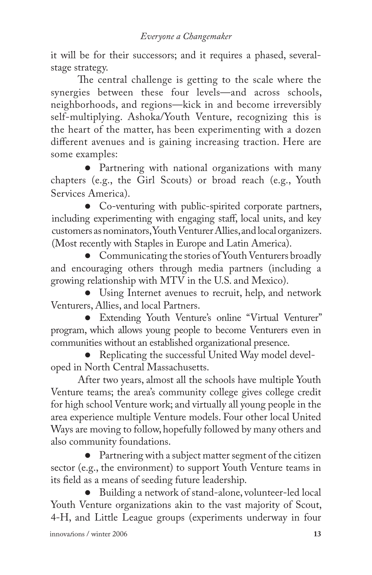it will be for their successors; and it requires a phased, severalstage strategy.

The central challenge is getting to the scale where the synergies between these four levels—and across schools, neighborhoods, and regions—kick in and become irreversibly self-multiplying. Ashoka/Youth Venture, recognizing this is the heart of the matter, has been experimenting with a dozen different avenues and is gaining increasing traction. Here are some examples:

• Partnering with national organizations with many chapters (e.g., the Girl Scouts) or broad reach (e.g., Youth Services America).

• Co-venturing with public-spirited corporate partners, including experimenting with engaging staff, local units, and key customers as nominators, Youth Venturer Allies, and local organizers. (Most recently with Staples in Europe and Latin America).

• Communicating the stories of Youth Venturers broadly and encouraging others through media partners (including a growing relationship with MTV in the U.S. and Mexico).

• Using Internet avenues to recruit, help, and network Venturers, Allies, and local Partners.

l Extending Youth Venture's online "Virtual Venturer" program, which allows young people to become Venturers even in communities without an established organizational presence.

• Replicating the successful United Way model developed in North Central Massachusetts.

After two years, almost all the schools have multiple Youth Venture teams; the area's community college gives college credit for high school Venture work; and virtually all young people in the area experience multiple Venture models. Four other local United Ways are moving to follow, hopefully followed by many others and also community foundations.

Partnering with a subject matter segment of the citizen sector (e.g., the environment) to support Youth Venture teams in its field as a means of seeding future leadership.

• Building a network of stand-alone, volunteer-led local Youth Venture organizations akin to the vast majority of Scout, 4-H, and Little League groups (experiments underway in four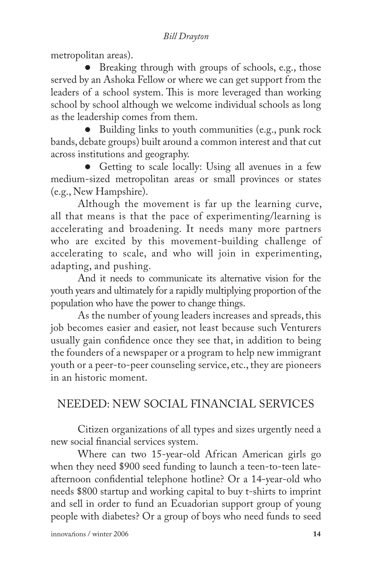metropolitan areas).

 $\bullet$  Breaking through with groups of schools, e.g., those served by an Ashoka Fellow or where we can get support from the leaders of a school system. This is more leveraged than working school by school although we welcome individual schools as long as the leadership comes from them.

 $\bullet$  Building links to youth communities (e.g., punk rock) bands, debate groups) built around a common interest and that cut across institutions and geography.

• Getting to scale locally: Using all avenues in a few medium-sized metropolitan areas or small provinces or states (e.g., New Hampshire).

Although the movement is far up the learning curve, all that means is that the pace of experimenting/learning is accelerating and broadening. It needs many more partners who are excited by this movement-building challenge of accelerating to scale, and who will join in experimenting, adapting, and pushing.

And it needs to communicate its alternative vision for the youth years and ultimately for a rapidly multiplying proportion of the population who have the power to change things.

As the number of young leaders increases and spreads, this job becomes easier and easier, not least because such Venturers usually gain confidence once they see that, in addition to being the founders of a newspaper or a program to help new immigrant youth or a peer-to-peer counseling service, etc., they are pioneers in an historic moment.

## NEEDED: NEW SOCIAL FINANCIAL SERVICES

Citizen organizations of all types and sizes urgently need a new social financial services system.

Where can two 15-year-old African American girls go when they need \$900 seed funding to launch a teen-to-teen lateafternoon confidential telephone hotline? Or a 14-year-old who needs \$800 startup and working capital to buy t-shirts to imprint and sell in order to fund an Ecuadorian support group of young people with diabetes? Or a group of boys who need funds to seed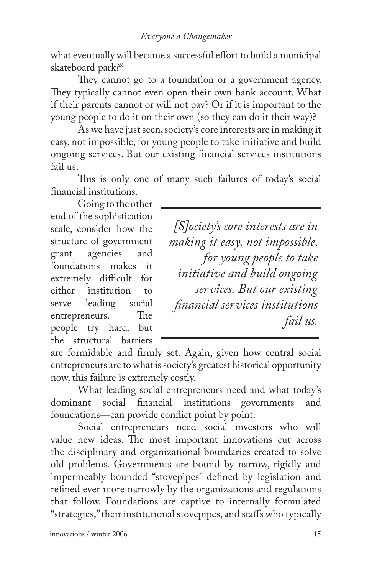what eventually will became a successful effort to build a municipal skateboard park?<sup>8</sup>

They cannot go to a foundation or a government agency. They typically cannot even open their own bank account. What if their parents cannot or will not pay? Or if it is important to the young people to do it on their own (so they can do it their way)?

As we have just seen, society's core interests are in making it easy, not impossible, for young people to take initiative and build ongoing services. But our existing financial services institutions fail us.

This is only one of many such failures of today's social financial institutions.

Going to the other end of the sophistication scale, consider how the structure of government grant agencies and foundations extremely difficult for either institution to serve leading social entrepreneurs. The people try hard, but the structural barriers

*[S]ociety's core interests are in making it easy, not impossible, for young people to take initiative and build ongoing services. But our existing financial services institutions fail us.*

are formidable and firmly set. Again, given how central social entrepreneurs are to what is society's greatest historical opportunity now, this failure is extremely costly.

What leading social entrepreneurs need and what today's<br>ant social financial institutions—governments and dominant social financial institutions—governments and foundations—can provide conflict point by point:

Social entrepreneurs need social investors who will value new ideas. The most important innovations cut across the disciplinary and organizational boundaries created to solve old problems. Governments are bound by narrow, rigidly and impermeably bounded "stovepipes" defined by legislation and refined ever more narrowly by the organizations and regulations that follow. Foundations are captive to internally formulated "strategies," their institutional stovepipes, and staffs who typically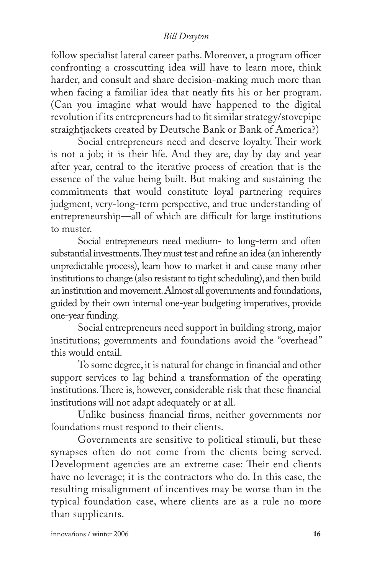follow specialist lateral career paths. Moreover, a program officer confronting a crosscutting idea will have to learn more, think harder, and consult and share decision-making much more than when facing a familiar idea that neatly fits his or her program. (Can you imagine what would have happened to the digital revolution if its entrepreneurs had to fit similar strategy/stovepipe straightjackets created by Deutsche Bank or Bank of America?)

Social entrepreneurs need and deserve loyalty. Their work is not a job; it is their life. And they are, day by day and year after year, central to the iterative process of creation that is the essence of the value being built. But making and sustaining the commitments that would constitute loyal partnering requires judgment, very-long-term perspective, and true understanding of entrepreneurship—all of which are difficult for large institutions to muster.

Social entrepreneurs need medium- to long-term and often substantial investments. They must test and refine an idea (an inherently unpredictable process), learn how to market it and cause many other institutions to change (also resistant to tight scheduling), and then build an institution and movement. Almost all governments and foundations, guided by their own internal one-year budgeting imperatives, provide one-year funding.

Social entrepreneurs need support in building strong, major institutions; governments and foundations avoid the "overhead" this would entail.

To some degree, it is natural for change in financial and other support services to lag behind a transformation of the operating institutions. There is, however, considerable risk that these financial institutions will not adapt adequately or at all.

Unlike business financial firms, neither governments nor foundations must respond to their clients.

Governments are sensitive to political stimuli, but these synapses often do not come from the clients being served. Development agencies are an extreme case: Their end clients have no leverage; it is the contractors who do. In this case, the resulting misalignment of incentives may be worse than in the typical foundation case, where clients are as a rule no more than supplicants.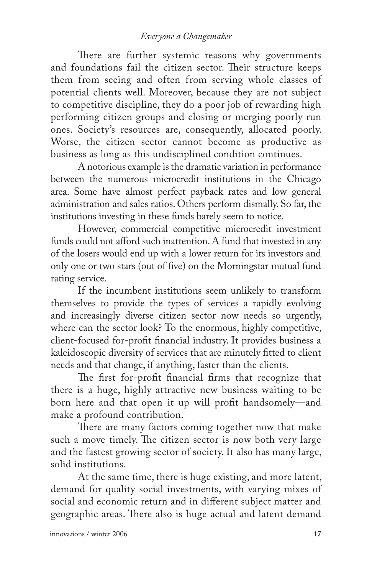There are further systemic reasons why governments and foundations fail the citizen sector. Their structure keeps them from seeing and often from serving whole classes of potential clients well. Moreover, because they are not subject to competitive discipline, they do a poor job of rewarding high performing citizen groups and closing or merging poorly run ones. Society's resources are, consequently, allocated poorly. Worse, the citizen sector cannot become as productive as business as long as this undisciplined condition continues.

A notorious example is the dramatic variation in performance between the numerous microcredit institutions in the Chicago area. Some have almost perfect payback rates and low general administration and sales ratios. Others perform dismally. So far, the institutions investing in these funds barely seem to notice.

However, commercial competitive microcredit investment funds could not afford such inattention. A fund that invested in any of the losers would end up with a lower return for its investors and only one or two stars (out of five) on the Morningstar mutual fund rating service.

If the incumbent institutions seem unlikely to transform themselves to provide the types of services a rapidly evolving and increasingly diverse citizen sector now needs so urgently, where can the sector look? To the enormous, highly competitive, client-focused for-profit financial industry. It provides business a kaleidoscopic diversity of services that are minutely fitted to client needs and that change, if anything, faster than the clients.

The first for-profit financial firms that recognize that there is a huge, highly attractive new business waiting to be born here and that open it up will profit handsomely—and make a profound contribution.

There are many factors coming together now that make such a move timely. The citizen sector is now both very large and the fastest growing sector of society. It also has many large, solid institutions.

At the same time, there is huge existing, and more latent, demand for quality social investments, with varying mixes of social and economic return and in different subject matter and geographic areas. There also is huge actual and latent demand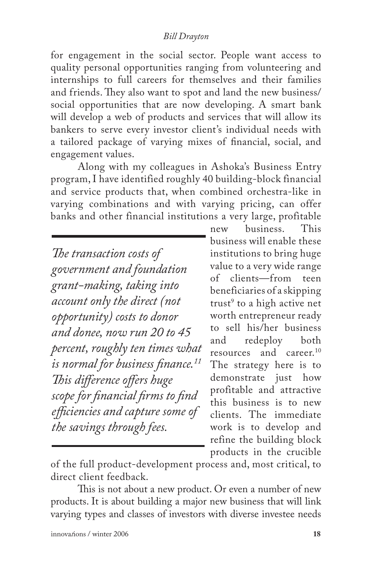for engagement in the social sector. People want access to quality personal opportunities ranging from volunteering and internships to full careers for themselves and their families and friends. They also want to spot and land the new business/ social opportunities that are now developing. A smart bank will develop a web of products and services that will allow its bankers to serve every investor client's individual needs with a tailored package of varying mixes of financial, social, and engagement values.

Along with my colleagues in Ashoka's Business Entry program, I have identified roughly 40 building-block financial and service products that, when combined orchestra-like in varying combinations and with varying pricing, can offer banks and other financial institutions a very large, profitable

*The transaction costs of government and foundation grant-making, taking into account only the direct (not opportunity) costs to donor and donee, now run 20 to 45 percent, roughly ten times what is normal for business finance.11 This difference offers huge scope for financial firms to find efficiencies and capture some of the savings through fees.*

new business. This business will enable these institutions to bring huge value to a very wide range of clients—from teen beneficiaries of a skipping trust<sup>9</sup> to a high active net worth entrepreneur ready to sell his/her business and redeploy both resources and career.10 The strategy here is to demonstrate just how profitable and attractive this business is to new clients. The immediate work is to develop and refine the building block products in the crucible

of the full product-development process and, most critical, to direct client feedback.

This is not about a new product. Or even a number of new products. It is about building a major new business that will link varying types and classes of investors with diverse investee needs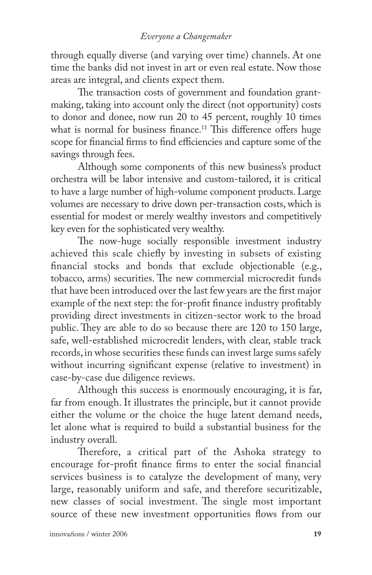through equally diverse (and varying over time) channels. At one time the banks did not invest in art or even real estate. Now those areas are integral, and clients expect them.

The transaction costs of government and foundation grantmaking, taking into account only the direct (not opportunity) costs to donor and donee, now run 20 to 45 percent, roughly 10 times what is normal for business finance.<sup>11</sup> This difference offers huge scope for financial firms to find efficiencies and capture some of the savings through fees.

Although some components of this new business's product orchestra will be labor intensive and custom-tailored, it is critical to have a large number of high-volume component products. Large volumes are necessary to drive down per-transaction costs, which is essential for modest or merely wealthy investors and competitively key even for the sophisticated very wealthy.

The now-huge socially responsible investment industry achieved this scale chiefly by investing in subsets of existing financial stocks and bonds that exclude objectionable (e.g., tobacco, arms) securities. The new commercial microcredit funds that have been introduced over the last few years are the first major example of the next step: the for-profit finance industry profitably providing direct investments in citizen-sector work to the broad public. They are able to do so because there are 120 to 150 large, safe, well-established microcredit lenders, with clear, stable track records, in whose securities these funds can invest large sums safely without incurring significant expense (relative to investment) in case-by-case due diligence reviews.

Although this success is enormously encouraging, it is far, far from enough. It illustrates the principle, but it cannot provide either the volume or the choice the huge latent demand needs, let alone what is required to build a substantial business for the industry overall.

Therefore, a critical part of the Ashoka strategy to encourage for-profit finance firms to enter the social financial services business is to catalyze the development of many, very large, reasonably uniform and safe, and therefore securitizable, new classes of social investment. The single most important source of these new investment opportunities flows from our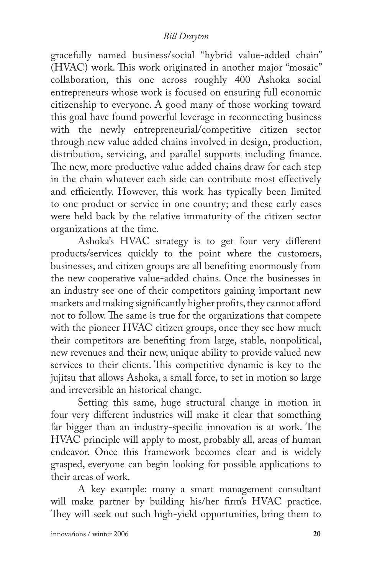gracefully named business/social "hybrid value-added chain" (HVAC) work. This work originated in another major "mosaic" collaboration, this one across roughly 400 Ashoka social entrepreneurs whose work is focused on ensuring full economic citizenship to everyone. A good many of those working toward this goal have found powerful leverage in reconnecting business with the newly entrepreneurial/competitive citizen sector through new value added chains involved in design, production, distribution, servicing, and parallel supports including finance. The new, more productive value added chains draw for each step in the chain whatever each side can contribute most effectively and efficiently. However, this work has typically been limited to one product or service in one country; and these early cases were held back by the relative immaturity of the citizen sector organizations at the time.

Ashoka's HVAC strategy is to get four very different products/services quickly to the point where the customers, businesses, and citizen groups are all benefiting enormously from the new cooperative value-added chains. Once the businesses in an industry see one of their competitors gaining important new markets and making significantly higher profits, they cannot afford not to follow. The same is true for the organizations that compete with the pioneer HVAC citizen groups, once they see how much their competitors are benefiting from large, stable, nonpolitical, new revenues and their new, unique ability to provide valued new services to their clients. This competitive dynamic is key to the jujitsu that allows Ashoka, a small force, to set in motion so large and irreversible an historical change.

Setting this same, huge structural change in motion in four very different industries will make it clear that something far bigger than an industry-specific innovation is at work. The HVAC principle will apply to most, probably all, areas of human endeavor. Once this framework becomes clear and is widely grasped, everyone can begin looking for possible applications to their areas of work.

A key example: many a smart management consultant will make partner by building his/her firm's HVAC practice. They will seek out such high-yield opportunities, bring them to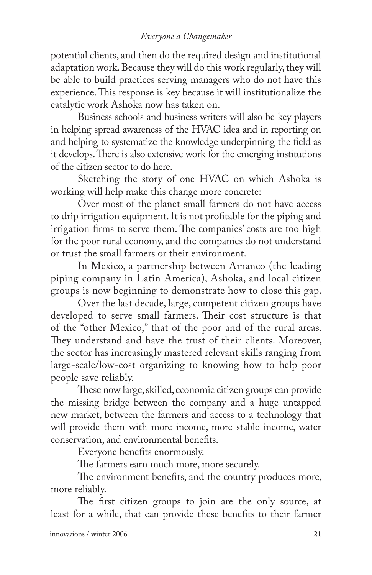potential clients, and then do the required design and institutional adaptation work. Because they will do this work regularly, they will be able to build practices serving managers who do not have this experience. This response is key because it will institutionalize the catalytic work Ashoka now has taken on.

Business schools and business writers will also be key players in helping spread awareness of the HVAC idea and in reporting on and helping to systematize the knowledge underpinning the field as it develops. There is also extensive work for the emerging institutions of the citizen sector to do here.

Sketching the story of one HVAC on which Ashoka is working will help make this change more concrete:

Over most of the planet small farmers do not have access to drip irrigation equipment. It is not profitable for the piping and irrigation firms to serve them. The companies' costs are too high for the poor rural economy, and the companies do not understand or trust the small farmers or their environment.

In Mexico, a partnership between Amanco (the leading piping company in Latin America), Ashoka, and local citizen groups is now beginning to demonstrate how to close this gap.

Over the last decade, large, competent citizen groups have developed to serve small farmers. Their cost structure is that of the "other Mexico," that of the poor and of the rural areas. They understand and have the trust of their clients. Moreover, the sector has increasingly mastered relevant skills ranging from large-scale/low-cost organizing to knowing how to help poor people save reliably.

These now large, skilled, economic citizen groups can provide the missing bridge between the company and a huge untapped new market, between the farmers and access to a technology that will provide them with more income, more stable income, water conservation, and environmental benefits.

Everyone benefits enormously.

The farmers earn much more, more securely.

The environment benefits, and the country produces more, more reliably.

The first citizen groups to join are the only source, at least for a while, that can provide these benefits to their farmer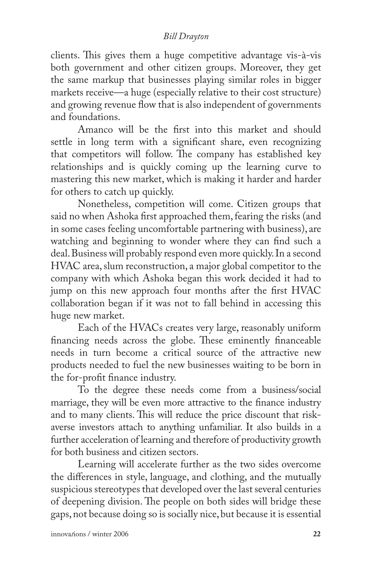clients. This gives them a huge competitive advantage vis-à-vis both government and other citizen groups. Moreover, they get the same markup that businesses playing similar roles in bigger markets receive—a huge (especially relative to their cost structure) and growing revenue flow that is also independent of governments and foundations.

Amanco will be the first into this market and should settle in long term with a significant share, even recognizing that competitors will follow. The company has established key relationships and is quickly coming up the learning curve to mastering this new market, which is making it harder and harder for others to catch up quickly.

Nonetheless, competition will come. Citizen groups that said no when Ashoka first approached them, fearing the risks (and in some cases feeling uncomfortable partnering with business), are watching and beginning to wonder where they can find such a deal. Business will probably respond even more quickly. In a second HVAC area, slum reconstruction, a major global competitor to the company with which Ashoka began this work decided it had to jump on this new approach four months after the first HVAC collaboration began if it was not to fall behind in accessing this huge new market.

Each of the HVACs creates very large, reasonably uniform financing needs across the globe. These eminently financeable needs in turn become a critical source of the attractive new products needed to fuel the new businesses waiting to be born in the for-profit finance industry.

To the degree these needs come from a business/social marriage, they will be even more attractive to the finance industry and to many clients. This will reduce the price discount that riskaverse investors attach to anything unfamiliar. It also builds in a further acceleration of learning and therefore of productivity growth for both business and citizen sectors.

Learning will accelerate further as the two sides overcome the differences in style, language, and clothing, and the mutually suspicious stereotypes that developed over the last several centuries of deepening division. The people on both sides will bridge these gaps, not because doing so is socially nice, but because it is essential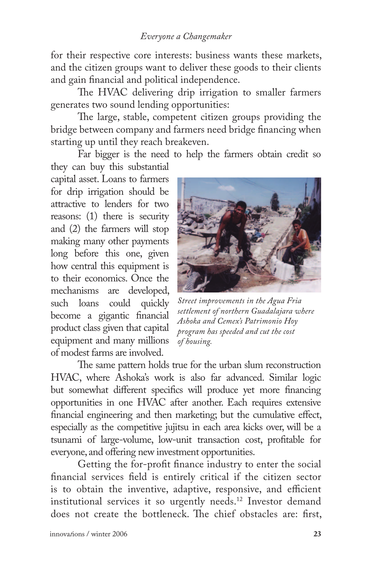for their respective core interests: business wants these markets, and the citizen groups want to deliver these goods to their clients and gain financial and political independence.

The HVAC delivering drip irrigation to smaller farmers generates two sound lending opportunities:

The large, stable, competent citizen groups providing the bridge between company and farmers need bridge financing when starting up until they reach breakeven.

Far bigger is the need to help the farmers obtain credit so

they can buy this substantial capital asset. Loans to farmers for drip irrigation should be attractive to lenders for two reasons: (1) there is security and (2) the farmers will stop making many other payments long before this one, given how central this equipment is to their economics. Once the mechanisms are developed, such loans could quickly become a gigantic financial product class given that capital equipment and many millions of modest farms are involved.



*Street improvements in the Agua Fria settlement of northern Guadalajara where Ashoka and Cemex's Patrimonio Hoy program has speeded and cut the cost of housing.*

The same pattern holds true for the urban slum reconstruction HVAC, where Ashoka's work is also far advanced. Similar logic but somewhat different specifics will produce yet more financing opportunities in one HVAC after another. Each requires extensive financial engineering and then marketing; but the cumulative effect, especially as the competitive jujitsu in each area kicks over, will be a tsunami of large-volume, low-unit transaction cost, profitable for everyone, and offering new investment opportunities.

Getting the for-profit finance industry to enter the social financial services field is entirely critical if the citizen sector is to obtain the inventive, adaptive, responsive, and efficient institutional services it so urgently needs.<sup>12</sup> Investor demand does not create the bottleneck. The chief obstacles are: first,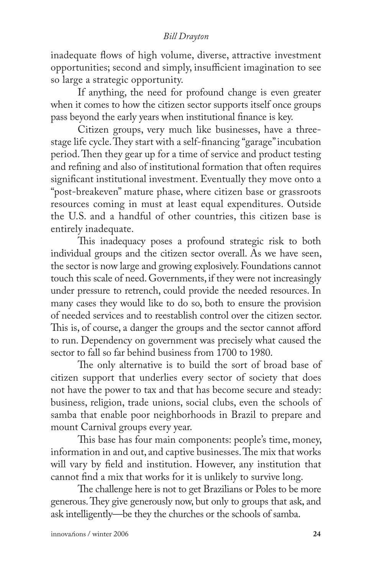inadequate flows of high volume, diverse, attractive investment opportunities; second and simply, insufficient imagination to see so large a strategic opportunity.

If anything, the need for profound change is even greater when it comes to how the citizen sector supports itself once groups pass beyond the early years when institutional finance is key.

Citizen groups, very much like businesses, have a threestage life cycle. They start with a self-financing "garage" incubation period. Then they gear up for a time of service and product testing and refining and also of institutional formation that often requires significant institutional investment. Eventually they move onto a "post-breakeven" mature phase, where citizen base or grassroots resources coming in must at least equal expenditures. Outside the U.S. and a handful of other countries, this citizen base is entirely inadequate.

This inadequacy poses a profound strategic risk to both individual groups and the citizen sector overall. As we have seen, the sector is now large and growing explosively. Foundations cannot touch this scale of need. Governments, if they were not increasingly under pressure to retrench, could provide the needed resources. In many cases they would like to do so, both to ensure the provision of needed services and to reestablish control over the citizen sector. This is, of course, a danger the groups and the sector cannot afford to run. Dependency on government was precisely what caused the sector to fall so far behind business from 1700 to 1980.

The only alternative is to build the sort of broad base of citizen support that underlies every sector of society that does not have the power to tax and that has become secure and steady: business, religion, trade unions, social clubs, even the schools of samba that enable poor neighborhoods in Brazil to prepare and mount Carnival groups every year.

This base has four main components: people's time, money, information in and out, and captive businesses. The mix that works will vary by field and institution. However, any institution that cannot find a mix that works for it is unlikely to survive long.

The challenge here is not to get Brazilians or Poles to be more generous. They give generously now, but only to groups that ask, and ask intelligently—be they the churches or the schools of samba.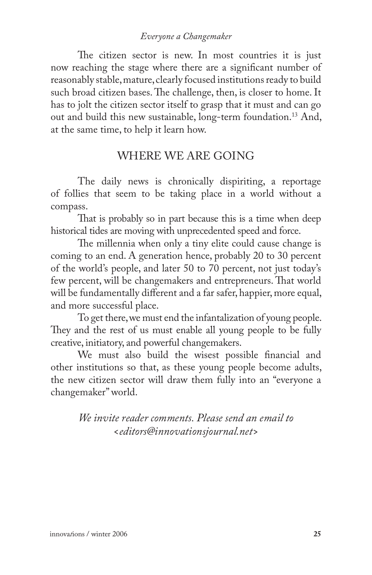#### *Everyone a Changemaker*

The citizen sector is new. In most countries it is just now reaching the stage where there are a significant number of reasonably stable, mature, clearly focused institutions ready to build such broad citizen bases. The challenge, then, is closer to home. It has to jolt the citizen sector itself to grasp that it must and can go out and build this new sustainable, long-term foundation.13 And, at the same time, to help it learn how.

### WHERE WE ARE GOING

The daily news is chronically dispiriting, a reportage of follies that seem to be taking place in a world without a compass.

That is probably so in part because this is a time when deep historical tides are moving with unprecedented speed and force.

The millennia when only a tiny elite could cause change is coming to an end. A generation hence, probably 20 to 30 percent of the world's people, and later 50 to 70 percent, not just today's few percent, will be changemakers and entrepreneurs. That world will be fundamentally different and a far safer, happier, more equal, and more successful place.

To get there, we must end the infantalization of young people. They and the rest of us must enable all young people to be fully creative, initiatory, and powerful changemakers.

We must also build the wisest possible financial and other institutions so that, as these young people become adults, the new citizen sector will draw them fully into an "everyone a changemaker" world.

> *We invite reader comments. Please send an email to <editors@innovationsjournal.net>*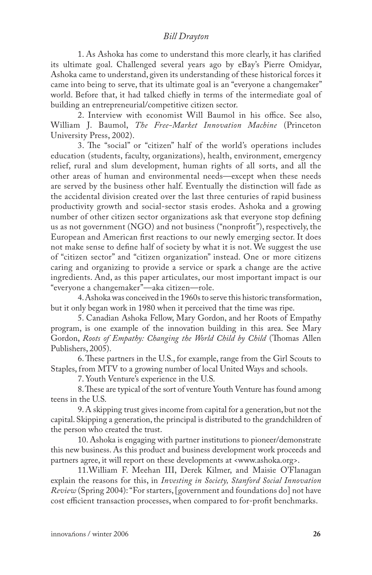1. As Ashoka has come to understand this more clearly, it has clarified its ultimate goal. Challenged several years ago by eBay's Pierre Omidyar, Ashoka came to understand, given its understanding of these historical forces it came into being to serve, that its ultimate goal is an "everyone a changemaker" world. Before that, it had talked chiefly in terms of the intermediate goal of building an entrepreneurial/competitive citizen sector.

2. Interview with economist Will Baumol in his office. See also, William J. Baumol, *The Free-Market Innovation Machine* (Princeton University Press, 2002).

3. The "social" or "citizen" half of the world's operations includes education (students, faculty, organizations), health, environment, emergency relief, rural and slum development, human rights of all sorts, and all the other areas of human and environmental needs—except when these needs are served by the business other half. Eventually the distinction will fade as the accidental division created over the last three centuries of rapid business productivity growth and social-sector stasis erodes. Ashoka and a growing number of other citizen sector organizations ask that everyone stop defining us as not government (NGO) and not business ("nonprofit"), respectively, the European and American first reactions to our newly emerging sector. It does not make sense to define half of society by what it is not. We suggest the use of "citizen sector" and "citizen organization" instead. One or more citizens caring and organizing to provide a service or spark a change are the active ingredients. And, as this paper articulates, our most important impact is our "everyone a changemaker"—aka citizen—role.

4. Ashoka was conceived in the 1960s to serve this historic transformation, but it only began work in 1980 when it perceived that the time was ripe.

5. Canadian Ashoka Fellow, Mary Gordon, and her Roots of Empathy program, is one example of the innovation building in this area. See Mary Gordon, *Roots of Empathy: Changing the World Child by Child* (Thomas Allen Publishers, 2005).

6. These partners in the U.S., for example, range from the Girl Scouts to Staples, from MTV to a growing number of local United Ways and schools.

7. Youth Venture's experience in the U.S.

8. These are typical of the sort of venture Youth Venture has found among teens in the U.S.

9. A skipping trust gives income from capital for a generation, but not the capital. Skipping a generation, the principal is distributed to the grandchildren of the person who created the trust.

10. Ashoka is engaging with partner institutions to pioneer/demonstrate this new business. As this product and business development work proceeds and partners agree, it will report on these developments at <www.ashoka.org>.

11.William F. Meehan III, Derek Kilmer, and Maisie O'Flanagan explain the reasons for this, in *Investing in Society, Stanford Social Innovation Review* (Spring 2004): "For starters, [government and foundations do] not have cost efficient transaction processes, when compared to for-profit benchmarks.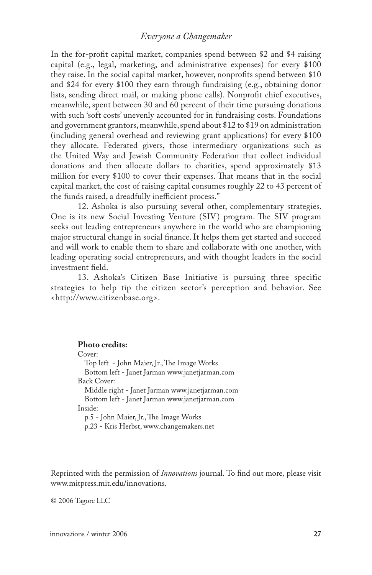#### *Everyone a Changemaker*

In the for-profit capital market, companies spend between \$2 and \$4 raising capital (e.g., legal, marketing, and administrative expenses) for every \$100 they raise. In the social capital market, however, nonprofits spend between \$10 and \$24 for every \$100 they earn through fundraising (e.g., obtaining donor lists, sending direct mail, or making phone calls). Nonprofit chief executives, meanwhile, spent between 30 and 60 percent of their time pursuing donations with such 'soft costs' unevenly accounted for in fundraising costs. Foundations and government grantors, meanwhile, spend about \$12 to \$19 on administration (including general overhead and reviewing grant applications) for every \$100 they allocate. Federated givers, those intermediary organizations such as the United Way and Jewish Community Federation that collect individual donations and then allocate dollars to charities, spend approximately \$13 million for every \$100 to cover their expenses. That means that in the social capital market, the cost of raising capital consumes roughly 22 to 43 percent of the funds raised, a dreadfully inefficient process."

12. Ashoka is also pursuing several other, complementary strategies. One is its new Social Investing Venture (SIV) program. The SIV program seeks out leading entrepreneurs anywhere in the world who are championing major structural change in social finance. It helps them get started and succeed and will work to enable them to share and collaborate with one another, with leading operating social entrepreneurs, and with thought leaders in the social investment field.

13. Ashoka's Citizen Base Initiative is pursuing three specific strategies to help tip the citizen sector's perception and behavior. See <http://www.citizenbase.org>.

**Photo credits:**

Cover: Top left - John Maier, Jr., The Image Works Bottom left - Janet Jarman www.janetjarman.com Back Cover: Middle right - Janet Jarman www.janetjarman.com Bottom left - Janet Jarman www.janetjarman.com Inside: p.5 - John Maier, Jr., The Image Works p.23 - Kris Herbst, www.changemakers.net

Reprinted with the permission of *Innovations* journal. To find out more, please visit www.mitpress.mit.edu/innovations.

© 2006 Tagore LLC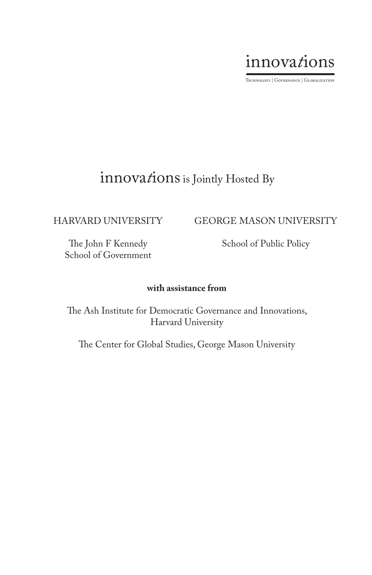## innova*t*ions

Technology | Governance | Globalization

## innovations is Jointly Hosted By

#### HARVARD UNIVERSITY

#### GEORGE MASON UNIVERSITY

The John F Kennedy School of Government School of Public Policy

#### **with assistance from**

The Ash Institute for Democratic Governance and Innovations, Harvard University

The Center for Global Studies, George Mason University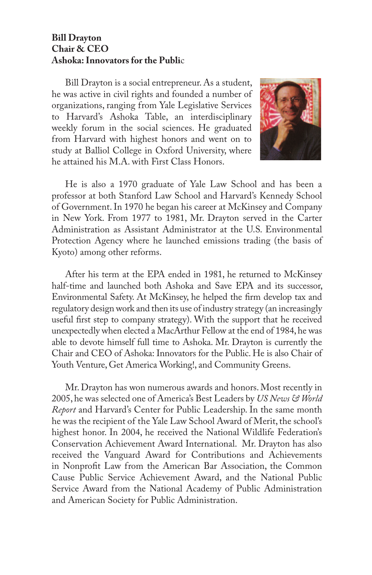#### **Bill Drayton Chair & CEO Ashoka: Innovators for the Publi**c

Bill Drayton is a social entrepreneur. As a student, he was active in civil rights and founded a number of organizations, ranging from Yale Legislative Services to Harvard's Ashoka Table, an interdisciplinary weekly forum in the social sciences. He graduated from Harvard with highest honors and went on to study at Balliol College in Oxford University, where he attained his M.A. with First Class Honors.



He is also a 1970 graduate of Yale Law School and has been a professor at both Stanford Law School and Harvard's Kennedy School of Government. In 1970 he began his career at McKinsey and Company in New York. From 1977 to 1981, Mr. Drayton served in the Carter Administration as Assistant Administrator at the U.S. Environmental Protection Agency where he launched emissions trading (the basis of Kyoto) among other reforms.

After his term at the EPA ended in 1981, he returned to McKinsey half-time and launched both Ashoka and Save EPA and its successor, Environmental Safety. At McKinsey, he helped the firm develop tax and regulatory design work and then its use of industry strategy (an increasingly useful first step to company strategy). With the support that he received unexpectedly when elected a MacArthur Fellow at the end of 1984, he was able to devote himself full time to Ashoka. Mr. Drayton is currently the Chair and CEO of Ashoka: Innovators for the Public. He is also Chair of Youth Venture, Get America Working!, and Community Greens.

Mr. Drayton has won numerous awards and honors. Most recently in 2005, he was selected one of America's Best Leaders by *US News & World Report* and Harvard's Center for Public Leadership. In the same month he was the recipient of the Yale Law School Award of Merit, the school's highest honor. In 2004, he received the National Wildlife Federation's Conservation Achievement Award International. Mr. Drayton has also received the Vanguard Award for Contributions and Achievements in Nonprofit Law from the American Bar Association, the Common Cause Public Service Achievement Award, and the National Public Service Award from the National Academy of Public Administration and American Society for Public Administration.